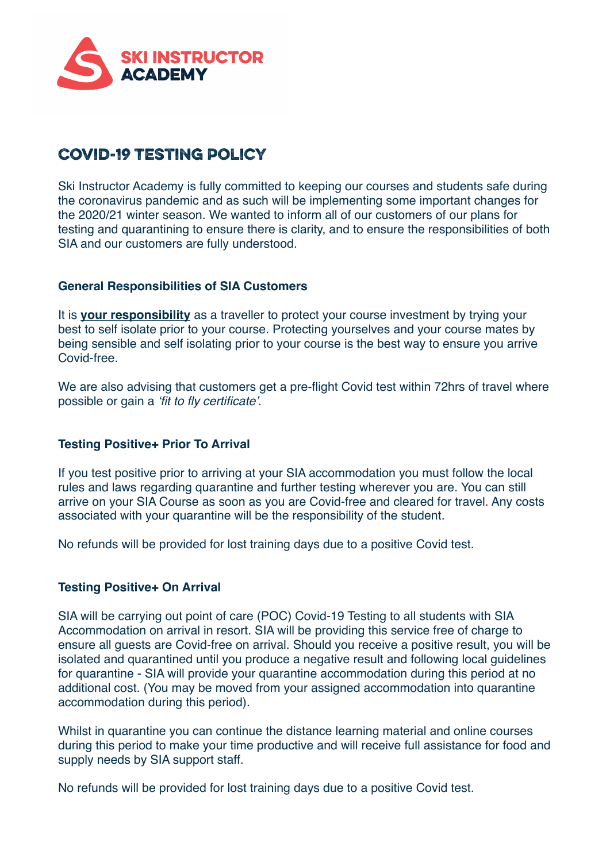

# Covid-19 Testing Policy

Ski Instructor Academy is fully committed to keeping our courses and students safe during the coronavirus pandemic and as such will be implementing some important changes for the 2020/21 winter season. We wanted to inform all of our customers of our plans for testing and quarantining to ensure there is clarity, and to ensure the responsibilities of both SIA and our customers are fully understood.

#### **General Responsibilities of SIA Customers**

It is **your responsibility** as a traveller to protect your course investment by trying your best to self isolate prior to your course. Protecting yourselves and your course mates by being sensible and self isolating prior to your course is the best way to ensure you arrive Covid-free.

We are also advising that customers get a pre-flight Covid test within 72hrs of travel where possible or gain a *'fit to fly certificate'*.

### **Testing Positive+ Prior To Arrival**

If you test positive prior to arriving at your SIA accommodation you must follow the local rules and laws regarding quarantine and further testing wherever you are. You can still arrive on your SIA Course as soon as you are Covid-free and cleared for travel. Any costs associated with your quarantine will be the responsibility of the student.

No refunds will be provided for lost training days due to a positive Covid test.

### **Testing Positive+ On Arrival**

SIA will be carrying out point of care (POC) Covid-19 Testing to all students with SIA Accommodation on arrival in resort. SIA will be providing this service free of charge to ensure all guests are Covid-free on arrival. Should you receive a positive result, you will be isolated and quarantined until you produce a negative result and following local guidelines for quarantine - SIA will provide your quarantine accommodation during this period at no additional cost. (You may be moved from your assigned accommodation into quarantine accommodation during this period).

Whilst in quarantine you can continue the distance learning material and online courses during this period to make your time productive and will receive full assistance for food and supply needs by SIA support staff.

No refunds will be provided for lost training days due to a positive Covid test.